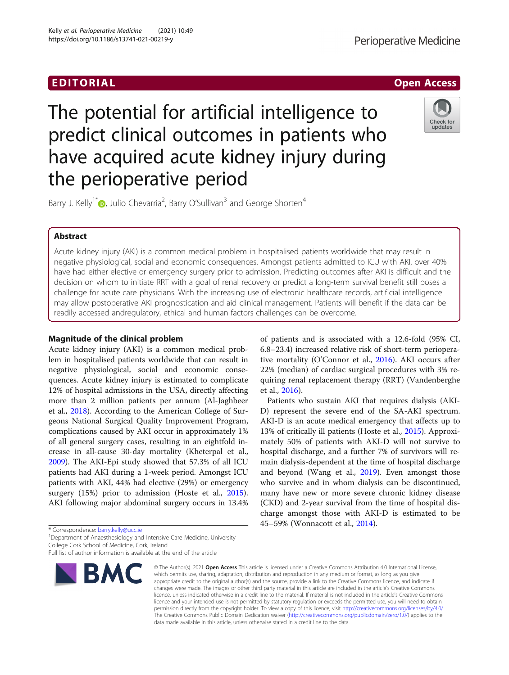

# The potential for artificial intelligence to predict clinical outcomes in patients who have acquired acute kidney injury during the perioperative period



Barry J. Kelly<sup>1\*</sup> (D[,](http://orcid.org/0000-0003-4776-1694) Julio Chevarria<sup>2</sup>, Barry O'Sullivan<sup>3</sup> and George Shorten<sup>4</sup>

# Abstract

Acute kidney injury (AKI) is a common medical problem in hospitalised patients worldwide that may result in negative physiological, social and economic consequences. Amongst patients admitted to ICU with AKI, over 40% have had either elective or emergency surgery prior to admission. Predicting outcomes after AKI is difficult and the decision on whom to initiate RRT with a goal of renal recovery or predict a long-term survival benefit still poses a challenge for acute care physicians. With the increasing use of electronic healthcare records, artificial intelligence may allow postoperative AKI prognostication and aid clinical management. Patients will benefit if the data can be readily accessed andregulatory, ethical and human factors challenges can be overcome.

# Magnitude of the clinical problem

Acute kidney injury (AKI) is a common medical problem in hospitalised patients worldwide that can result in negative physiological, social and economic consequences. Acute kidney injury is estimated to complicate 12% of hospital admissions in the USA, directly affecting more than 2 million patients per annum (Al-Jaghbeer et al., [2018\)](#page-5-0). According to the American College of Surgeons National Surgical Quality Improvement Program, complications caused by AKI occur in approximately 1% of all general surgery cases, resulting in an eightfold increase in all-cause 30-day mortality (Kheterpal et al., [2009](#page-5-0)). The AKI-Epi study showed that 57.3% of all ICU patients had AKI during a 1-week period. Amongst ICU patients with AKI, 44% had elective (29%) or emergency surgery (15%) prior to admission (Hoste et al., [2015](#page-5-0)). AKI following major abdominal surgery occurs in 13.4%

\* Correspondence: [barry.kelly@ucc.ie](mailto:barry.kelly@ucc.ie) <sup>1</sup>

<sup>1</sup> Department of Anaesthesiology and Intensive Care Medicine, University College Cork School of Medicine, Cork, Ireland

Full list of author information is available at the end of the article



© The Author(s), 2021 **Open Access** This article is licensed under a Creative Commons Attribution 4.0 International License, which permits use, sharing, adaptation, distribution and reproduction in any medium or format, as long as you give appropriate credit to the original author(s) and the source, provide a link to the Creative Commons licence, and indicate if changes were made. The images or other third party material in this article are included in the article's Creative Commons licence, unless indicated otherwise in a credit line to the material. If material is not included in the article's Creative Commons licence and your intended use is not permitted by statutory regulation or exceeds the permitted use, you will need to obtain permission directly from the copyright holder. To view a copy of this licence, visit [http://creativecommons.org/licenses/by/4.0/.](http://creativecommons.org/licenses/by/4.0/) The Creative Commons Public Domain Dedication waiver [\(http://creativecommons.org/publicdomain/zero/1.0/](http://creativecommons.org/publicdomain/zero/1.0/)) applies to the data made available in this article, unless otherwise stated in a credit line to the data.

of patients and is associated with a 12.6-fold (95% CI, 6.8–23.4) increased relative risk of short-term perioperative mortality (O'Connor et al., [2016](#page-6-0)). AKI occurs after 22% (median) of cardiac surgical procedures with 3% requiring renal replacement therapy (RRT) (Vandenberghe et al., [2016](#page-6-0)).

Patients who sustain AKI that requires dialysis (AKI-D) represent the severe end of the SA-AKI spectrum. AKI-D is an acute medical emergency that affects up to 13% of critically ill patients (Hoste et al., [2015](#page-5-0)). Approximately 50% of patients with AKI-D will not survive to hospital discharge, and a further 7% of survivors will remain dialysis-dependent at the time of hospital discharge and beyond (Wang et al., [2019](#page-6-0)). Even amongst those who survive and in whom dialysis can be discontinued, many have new or more severe chronic kidney disease (CKD) and 2-year survival from the time of hospital discharge amongst those with AKI-D is estimated to be 45–59% (Wonnacott et al., [2014\)](#page-6-0).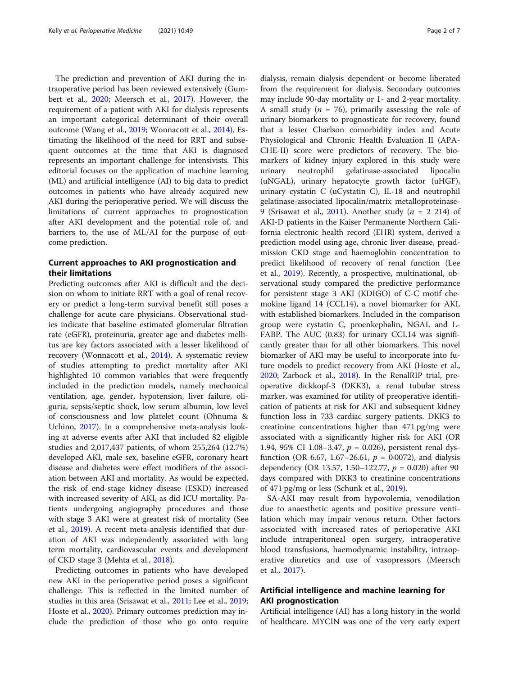The prediction and prevention of AKI during the intraoperative period has been reviewed extensively (Gumbert et al., [2020;](#page-5-0) Meersch et al., [2017](#page-5-0)). However, the requirement of a patient with AKI for dialysis represents an important categorical determinant of their overall outcome (Wang et al., [2019;](#page-6-0) Wonnacott et al., [2014](#page-6-0)). Estimating the likelihood of the need for RRT and subsequent outcomes at the time that AKI is diagnosed represents an important challenge for intensivists. This editorial focuses on the application of machine learning (ML) and artificial intelligence (AI) to big data to predict outcomes in patients who have already acquired new AKI during the perioperative period. We will discuss the limitations of current approaches to prognostication after AKI development and the potential role of, and barriers to, the use of ML/AI for the purpose of outcome prediction.

# Current approaches to AKI prognostication and their limitations

Predicting outcomes after AKI is difficult and the decision on whom to initiate RRT with a goal of renal recovery or predict a long-term survival benefit still poses a challenge for acute care physicians. Observational studies indicate that baseline estimated glomerular filtration rate (eGFR), proteinuria, greater age and diabetes mellitus are key factors associated with a lesser likelihood of recovery (Wonnacott et al., [2014](#page-6-0)). A systematic review of studies attempting to predict mortality after AKI highlighted 10 common variables that were frequently included in the prediction models, namely mechanical ventilation, age, gender, hypotension, liver failure, oliguria, sepsis/septic shock, low serum albumin, low level of consciousness and low platelet count (Ohnuma & Uchino, [2017\)](#page-6-0). In a comprehensive meta-analysis looking at adverse events after AKI that included 82 eligible studies and 2,017,437 patients, of whom 255,264 (12.7%) developed AKI, male sex, baseline eGFR, coronary heart disease and diabetes were effect modifiers of the association between AKI and mortality. As would be expected, the risk of end-stage kidney disease (ESKD) increased with increased severity of AKI, as did ICU mortality. Patients undergoing angiography procedures and those with stage 3 AKI were at greatest risk of mortality (See et al., [2019\)](#page-6-0). A recent meta-analysis identified that duration of AKI was independently associated with long term mortality, cardiovascular events and development of CKD stage 3 (Mehta et al., [2018\)](#page-5-0).

Predicting outcomes in patients who have developed new AKI in the perioperative period poses a significant challenge. This is reflected in the limited number of studies in this area (Srisawat et al., [2011](#page-6-0); Lee et al., [2019](#page-5-0); Hoste et al., [2020](#page-5-0)). Primary outcomes prediction may include the prediction of those who go onto require dialysis, remain dialysis dependent or become liberated from the requirement for dialysis. Secondary outcomes may include 90-day mortality or 1- and 2-year mortality. A small study ( $n = 76$ ), primarily assessing the role of urinary biomarkers to prognosticate for recovery, found that a lesser Charlson comorbidity index and Acute Physiological and Chronic Health Evaluation II (APA-CHE-II) score were predictors of recovery. The biomarkers of kidney injury explored in this study were urinary neutrophil gelatinase-associated lipocalin (uNGAL), urinary hepatocyte growth factor (uHGF), urinary cystatin C (uCystatin C), IL-18 and neutrophil gelatinase-associated lipocalin/matrix metalloproteinase-9 (Srisawat et al., [2011](#page-6-0)). Another study ( $n = 2$  214) of AKI-D patients in the Kaiser Permanente Northern California electronic health record (EHR) system, derived a prediction model using age, chronic liver disease, preadmission CKD stage and haemoglobin concentration to predict likelihood of recovery of renal function (Lee et al., [2019\)](#page-5-0). Recently, a prospective, multinational, observational study compared the predictive performance for persistent stage 3 AKI (KDIGO) of C-C motif chemokine ligand 14 (CCL14), a novel biomarker for AKI, with established biomarkers. Included in the comparison group were cystatin C, proenkephalin, NGAL and L-FABP. The AUC (0.83) for urinary CCL14 was significantly greater than for all other biomarkers. This novel biomarker of AKI may be useful to incorporate into future models to predict recovery from AKI (Hoste et al., [2020](#page-5-0); Zarbock et al., [2018](#page-6-0)). In the RenalRIP trial, preoperative dickkopf-3 (DKK3), a renal tubular stress marker, was examined for utility of preoperative identification of patients at risk for AKI and subsequent kidney function loss in 733 cardiac surgery patients. DKK3 to creatinine concentrations higher than 471 pg/mg were associated with a significantly higher risk for AKI (OR 1.94, 95% CI 1.08-3.47,  $p = 0.026$ ), persistent renal dysfunction (OR 6.67, 1.67–26.61,  $p = 0.0072$ ), and dialysis dependency (OR 13.57, 1.50–122.77,  $p = 0.020$ ) after 90 days compared with DKK3 to creatinine concentrations of 471 pg/mg or less (Schunk et al., [2019\)](#page-6-0).

SA-AKI may result from hypovolemia, venodilation due to anaesthetic agents and positive pressure ventilation which may impair venous return. Other factors associated with increased rates of perioperative AKI include intraperitoneal open surgery, intraoperative blood transfusions, haemodynamic instability, intraoperative diuretics and use of vasopressors (Meersch et al., [2017\)](#page-5-0).

# Artificial intelligence and machine learning for AKI prognostication

Artificial intelligence (AI) has a long history in the world of healthcare. MYCIN was one of the very early expert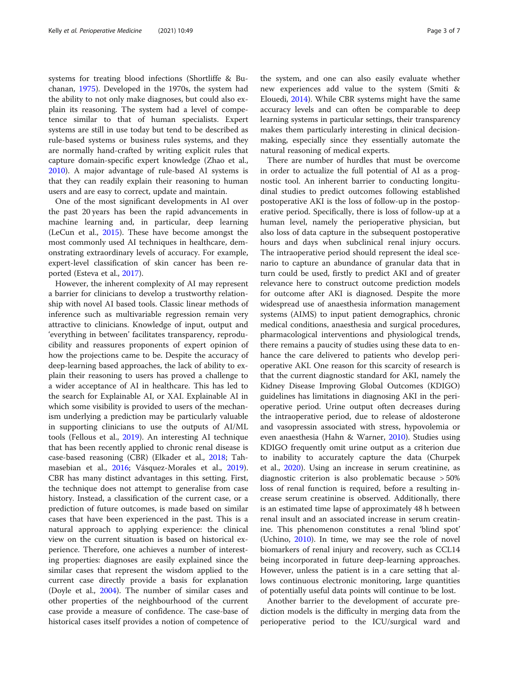systems for treating blood infections (Shortliffe & Buchanan, [1975\)](#page-6-0). Developed in the 1970s, the system had the ability to not only make diagnoses, but could also explain its reasoning. The system had a level of competence similar to that of human specialists. Expert systems are still in use today but tend to be described as rule-based systems or business rules systems, and they are normally hand-crafted by writing explicit rules that capture domain-specific expert knowledge (Zhao et al., [2010](#page-6-0)). A major advantage of rule-based AI systems is that they can readily explain their reasoning to human users and are easy to correct, update and maintain.

One of the most significant developments in AI over the past 20 years has been the rapid advancements in machine learning and, in particular, deep learning (LeCun et al., [2015\)](#page-5-0). These have become amongst the most commonly used AI techniques in healthcare, demonstrating extraordinary levels of accuracy. For example, expert-level classification of skin cancer has been reported (Esteva et al., [2017\)](#page-5-0).

However, the inherent complexity of AI may represent a barrier for clinicians to develop a trustworthy relationship with novel AI based tools. Classic linear methods of inference such as multivariable regression remain very attractive to clinicians. Knowledge of input, output and 'everything in between' facilitates transparency, reproducibility and reassures proponents of expert opinion of how the projections came to be. Despite the accuracy of deep-learning based approaches, the lack of ability to explain their reasoning to users has proved a challenge to a wider acceptance of AI in healthcare. This has led to the search for Explainable AI, or XAI. Explainable AI in which some visibility is provided to users of the mechanism underlying a prediction may be particularly valuable in supporting clinicians to use the outputs of AI/ML tools (Fellous et al., [2019](#page-5-0)). An interesting AI technique that has been recently applied to chronic renal disease is case-based reasoning (CBR) (Elkader et al., [2018](#page-5-0); Tahmasebian et al., [2016;](#page-6-0) Vásquez-Morales et al., [2019](#page-6-0)). CBR has many distinct advantages in this setting. First, the technique does not attempt to generalise from case history. Instead, a classification of the current case, or a prediction of future outcomes, is made based on similar cases that have been experienced in the past. This is a natural approach to applying experience: the clinical view on the current situation is based on historical experience. Therefore, one achieves a number of interesting properties: diagnoses are easily explained since the similar cases that represent the wisdom applied to the current case directly provide a basis for explanation (Doyle et al., [2004](#page-5-0)). The number of similar cases and other properties of the neighbourhood of the current case provide a measure of confidence. The case-base of historical cases itself provides a notion of competence of the system, and one can also easily evaluate whether new experiences add value to the system (Smiti & Elouedi, [2014](#page-6-0)). While CBR systems might have the same accuracy levels and can often be comparable to deep learning systems in particular settings, their transparency makes them particularly interesting in clinical decisionmaking, especially since they essentially automate the natural reasoning of medical experts.

There are number of hurdles that must be overcome in order to actualize the full potential of AI as a prognostic tool. An inherent barrier to conducting longitudinal studies to predict outcomes following established postoperative AKI is the loss of follow-up in the postoperative period. Specifically, there is loss of follow-up at a human level, namely the perioperative physician, but also loss of data capture in the subsequent postoperative hours and days when subclinical renal injury occurs. The intraoperative period should represent the ideal scenario to capture an abundance of granular data that in turn could be used, firstly to predict AKI and of greater relevance here to construct outcome prediction models for outcome after AKI is diagnosed. Despite the more widespread use of anaesthesia information management systems (AIMS) to input patient demographics, chronic medical conditions, anaesthesia and surgical procedures, pharmacological interventions and physiological trends, there remains a paucity of studies using these data to enhance the care delivered to patients who develop perioperative AKI. One reason for this scarcity of research is that the current diagnostic standard for AKI, namely the Kidney Disease Improving Global Outcomes (KDIGO) guidelines has limitations in diagnosing AKI in the perioperative period. Urine output often decreases during the intraoperative period, due to release of aldosterone and vasopressin associated with stress, hypovolemia or even anaesthesia (Hahn & Warner, [2010\)](#page-5-0). Studies using KDIGO frequently omit urine output as a criterion due to inability to accurately capture the data (Churpek et al., [2020\)](#page-5-0). Using an increase in serum creatinine, as diagnostic criterion is also problematic because > 50% loss of renal function is required, before a resulting increase serum creatinine is observed. Additionally, there is an estimated time lapse of approximately 48 h between renal insult and an associated increase in serum creatinine. This phenomenon constitutes a renal 'blind spot' (Uchino, [2010](#page-6-0)). In time, we may see the role of novel biomarkers of renal injury and recovery, such as CCL14 being incorporated in future deep-learning approaches. However, unless the patient is in a care setting that allows continuous electronic monitoring, large quantities of potentially useful data points will continue to be lost.

Another barrier to the development of accurate prediction models is the difficulty in merging data from the perioperative period to the ICU/surgical ward and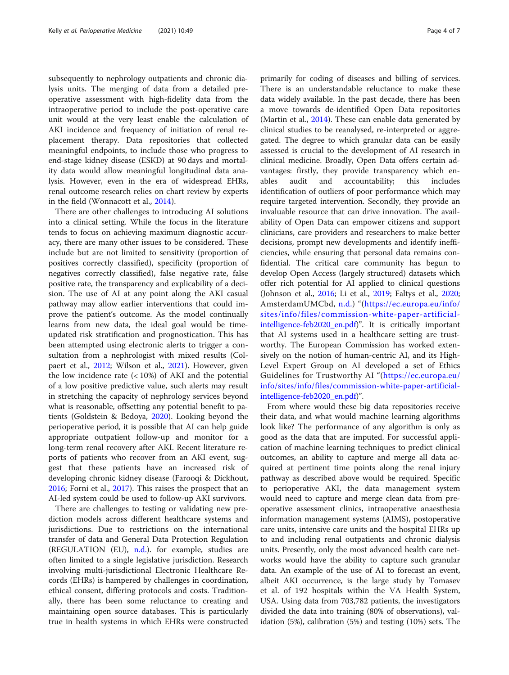subsequently to nephrology outpatients and chronic dialysis units. The merging of data from a detailed preoperative assessment with high-fidelity data from the intraoperative period to include the post-operative care unit would at the very least enable the calculation of AKI incidence and frequency of initiation of renal replacement therapy. Data repositories that collected meaningful endpoints, to include those who progress to end-stage kidney disease (ESKD) at 90 days and mortality data would allow meaningful longitudinal data analysis. However, even in the era of widespread EHRs, renal outcome research relies on chart review by experts in the field (Wonnacott et al., [2014\)](#page-6-0).

There are other challenges to introducing AI solutions into a clinical setting. While the focus in the literature tends to focus on achieving maximum diagnostic accuracy, there are many other issues to be considered. These include but are not limited to sensitivity (proportion of positives correctly classified), specificity (proportion of negatives correctly classified), false negative rate, false positive rate, the transparency and explicability of a decision. The use of AI at any point along the AKI casual pathway may allow earlier interventions that could improve the patient's outcome. As the model continually learns from new data, the ideal goal would be timeupdated risk stratification and prognostication. This has been attempted using electronic alerts to trigger a consultation from a nephrologist with mixed results (Colpaert et al., [2012](#page-5-0); Wilson et al., [2021](#page-6-0)). However, given the low incidence rate  $\left($  < 10%) of AKI and the potential of a low positive predictive value, such alerts may result in stretching the capacity of nephrology services beyond what is reasonable, offsetting any potential benefit to patients (Goldstein & Bedoya, [2020\)](#page-5-0). Looking beyond the perioperative period, it is possible that AI can help guide appropriate outpatient follow-up and monitor for a long-term renal recovery after AKI. Recent literature reports of patients who recover from an AKI event, suggest that these patients have an increased risk of developing chronic kidney disease (Farooqi & Dickhout, [2016](#page-5-0); Forni et al., [2017\)](#page-5-0). This raises the prospect that an AI-led system could be used to follow-up AKI survivors.

There are challenges to testing or validating new prediction models across different healthcare systems and jurisdictions. Due to restrictions on the international transfer of data and General Data Protection Regulation (REGULATION (EU), [n.d.\)](#page-6-0). for example, studies are often limited to a single legislative jurisdiction. Research involving multi-jurisdictional Electronic Healthcare Records (EHRs) is hampered by challenges in coordination, ethical consent, differing protocols and costs. Traditionally, there has been some reluctance to creating and maintaining open source databases. This is particularly true in health systems in which EHRs were constructed primarily for coding of diseases and billing of services. There is an understandable reluctance to make these data widely available. In the past decade, there has been a move towards de-identified Open Data repositories (Martin et al., [2014\)](#page-5-0). These can enable data generated by clinical studies to be reanalysed, re-interpreted or aggregated. The degree to which granular data can be easily assessed is crucial to the development of AI research in clinical medicine. Broadly, Open Data offers certain advantages: firstly, they provide transparency which enables audit and accountability; this includes identification of outliers of poor performance which may require targeted intervention. Secondly, they provide an invaluable resource that can drive innovation. The availability of Open Data can empower citizens and support clinicians, care providers and researchers to make better decisions, prompt new developments and identify inefficiencies, while ensuring that personal data remains confidential. The critical care community has begun to develop Open Access (largely structured) datasets which offer rich potential for AI applied to clinical questions (Johnson et al., [2016;](#page-5-0) Li et al., [2019](#page-5-0); Faltys et al., [2020](#page-5-0); AmsterdamUMCbd, [n.d.](#page-5-0)) "([https://ec.europa.eu/info/](https://ec.europa.eu/info/sites/info/files/commission-white-paper-artificial-intelligence-feb2020_en.pdf) [sites/info/files/commission-white-paper-artificial](https://ec.europa.eu/info/sites/info/files/commission-white-paper-artificial-intelligence-feb2020_en.pdf)[intelligence-feb2020\\_en.pdf\)](https://ec.europa.eu/info/sites/info/files/commission-white-paper-artificial-intelligence-feb2020_en.pdf)". It is critically important that AI systems used in a healthcare setting are trustworthy. The European Commission has worked extensively on the notion of human-centric AI, and its High-Level Expert Group on AI developed a set of Ethics Guidelines for Trustworthy AI "([https://ec.europa.eu/](https://ec.europa.eu/info/sites/info/files/commission-white-paper-artificial-intelligence-feb2020_en.pdf) [info/sites/info/files/commission-white-paper-artificial](https://ec.europa.eu/info/sites/info/files/commission-white-paper-artificial-intelligence-feb2020_en.pdf)[intelligence-feb2020\\_en.pdf\)](https://ec.europa.eu/info/sites/info/files/commission-white-paper-artificial-intelligence-feb2020_en.pdf)".

From where would these big data repositories receive their data, and what would machine learning algorithms look like? The performance of any algorithm is only as good as the data that are imputed. For successful application of machine learning techniques to predict clinical outcomes, an ability to capture and merge all data acquired at pertinent time points along the renal injury pathway as described above would be required. Specific to perioperative AKI, the data management system would need to capture and merge clean data from preoperative assessment clinics, intraoperative anaesthesia information management systems (AIMS), postoperative care units, intensive care units and the hospital EHRs up to and including renal outpatients and chronic dialysis units. Presently, only the most advanced health care networks would have the ability to capture such granular data. An example of the use of AI to forecast an event, albeit AKI occurrence, is the large study by Tomasev et al. of 192 hospitals within the VA Health System, USA. Using data from 703,782 patients, the investigators divided the data into training (80% of observations), validation (5%), calibration (5%) and testing (10%) sets. The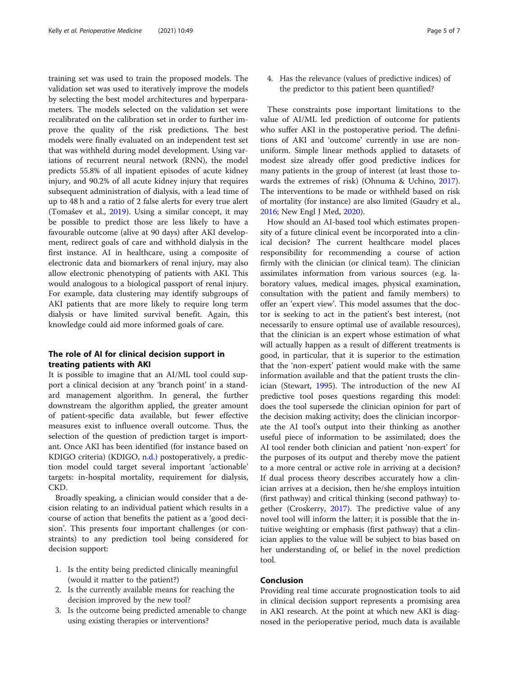training set was used to train the proposed models. The validation set was used to iteratively improve the models by selecting the best model architectures and hyperparameters. The models selected on the validation set were recalibrated on the calibration set in order to further improve the quality of the risk predictions. The best models were finally evaluated on an independent test set that was withheld during model development. Using variations of recurrent neural network (RNN), the model predicts 55.8% of all inpatient episodes of acute kidney injury, and 90.2% of all acute kidney injury that requires subsequent administration of dialysis, with a lead time of up to 48 h and a ratio of 2 false alerts for every true alert (Tomašev et al., [2019\)](#page-6-0). Using a similar concept, it may be possible to predict those are less likely to have a favourable outcome (alive at 90 days) after AKI development, redirect goals of care and withhold dialysis in the first instance. AI in healthcare, using a composite of electronic data and biomarkers of renal injury, may also allow electronic phenotyping of patients with AKI. This would analogous to a biological passport of renal injury. For example, data clustering may identify subgroups of AKI patients that are more likely to require long term dialysis or have limited survival benefit. Again, this knowledge could aid more informed goals of care.

# The role of AI for clinical decision support in treating patients with AKI

It is possible to imagine that an AI/ML tool could support a clinical decision at any 'branch point' in a standard management algorithm. In general, the further downstream the algorithm applied, the greater amount of patient-specific data available, but fewer effective measures exist to influence overall outcome. Thus, the selection of the question of prediction target is important. Once AKI has been identified (for instance based on KDIGO criteria) (KDIGO, [n.d.](#page-5-0)) postoperatively, a prediction model could target several important 'actionable' targets: in-hospital mortality, requirement for dialysis, CKD.

Broadly speaking, a clinician would consider that a decision relating to an individual patient which results in a course of action that benefits the patient as a 'good decision'. This presents four important challenges (or constraints) to any prediction tool being considered for decision support:

- 1. Is the entity being predicted clinically meaningful (would it matter to the patient?)
- 2. Is the currently available means for reaching the decision improved by the new tool?
- 3. Is the outcome being predicted amenable to change using existing therapies or interventions?

4. Has the relevance (values of predictive indices) of the predictor to this patient been quantified?

These constraints pose important limitations to the value of AI/ML led prediction of outcome for patients who suffer AKI in the postoperative period. The definitions of AKI and 'outcome' currently in use are nonuniform. Simple linear methods applied to datasets of modest size already offer good predictive indices for many patients in the group of interest (at least those towards the extremes of risk) (Ohnuma & Uchino, [2017](#page-6-0)). The interventions to be made or withheld based on risk of mortality (for instance) are also limited (Gaudry et al., [2016](#page-5-0); New Engl J Med, [2020\)](#page-5-0).

How should an AI-based tool which estimates propensity of a future clinical event be incorporated into a clinical decision? The current healthcare model places responsibility for recommending a course of action firmly with the clinician (or clinical team). The clinician assimilates information from various sources (e.g. laboratory values, medical images, physical examination, consultation with the patient and family members) to offer an 'expert view'. This model assumes that the doctor is seeking to act in the patient's best interest, (not necessarily to ensure optimal use of available resources), that the clinician is an expert whose estimation of what will actually happen as a result of different treatments is good, in particular, that it is superior to the estimation that the 'non-expert' patient would make with the same information available and that the patient trusts the clinician (Stewart, [1995](#page-6-0)). The introduction of the new AI predictive tool poses questions regarding this model: does the tool supersede the clinician opinion for part of the decision making activity; does the clinician incorporate the AI tool's output into their thinking as another useful piece of information to be assimilated; does the AI tool render both clinician and patient 'non-expert' for the purposes of its output and thereby move the patient to a more central or active role in arriving at a decision? If dual process theory describes accurately how a clinician arrives at a decision, then he/she employs intuition (first pathway) and critical thinking (second pathway) together (Croskerry, [2017](#page-5-0)). The predictive value of any novel tool will inform the latter; it is possible that the intuitive weighting or emphasis (first pathway) that a clinician applies to the value will be subject to bias based on her understanding of, or belief in the novel prediction tool.

# Conclusion

Providing real time accurate prognostication tools to aid in clinical decision support represents a promising area in AKI research. At the point at which new AKI is diagnosed in the perioperative period, much data is available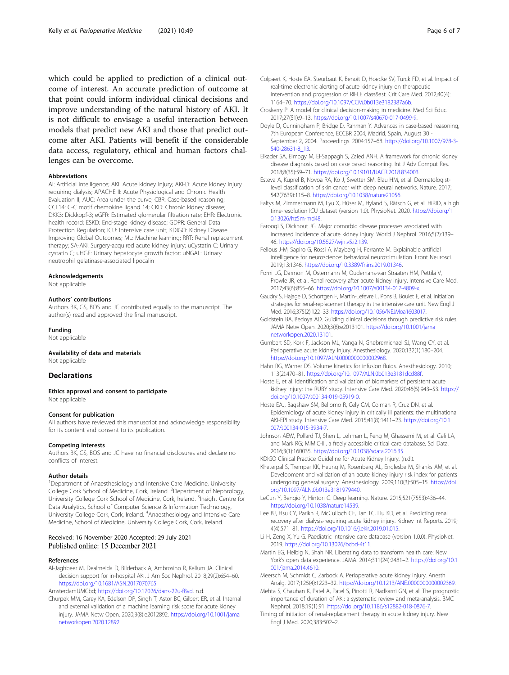<span id="page-5-0"></span>which could be applied to prediction of a clinical outcome of interest. An accurate prediction of outcome at that point could inform individual clinical decisions and improve understanding of the natural history of AKI. It is not difficult to envisage a useful interaction between models that predict new AKI and those that predict outcome after AKI. Patients will benefit if the considerable data access, regulatory, ethical and human factors challenges can be overcome.

## **Abbreviations**

AI: Artificial intelligence; AKI: Acute kidney injury; AKI-D: Acute kidney injury requiring dialysis; APACHE II: Acute Physiological and Chronic Health Evaluation II; AUC: Area under the curve; CBR: Case-based reasoning; CCL14: C-C motif chemokine ligand 14; CKD: Chronic kidney disease; DKK3: Dickkopf-3; eGFR: Estimated glomerular filtration rate; EHR: Electronic health record; ESKD: End-stage kidney disease; GDPR: General Data Protection Regulation; ICU: Intensive care unit; KDIGO: Kidney Disease Improving Global Outcomes; ML: Machine learning; RRT: Renal replacement therapy; SA-AKI: Surgery-acquired acute kidney injury; uCystatin C: Urinary cystatin C; uHGF: Urinary hepatocyte growth factor; uNGAL: Urinary neutrophil gelatinase-associated lipocalin

#### Acknowledgements

Not applicable

# Authors' contributions

Authors BK, GS, BOS and JC contributed equally to the manuscript. The author(s) read and approved the final manuscript.

#### Funding

Not applicable

# Availability of data and materials

Not applicable

# **Declarations**

Ethics approval and consent to participate Not applicable

## Consent for publication

All authors have reviewed this manuscript and acknowledge responsibility for its content and consent to its publication.

### Competing interests

Authors BK, GS, BOS and JC have no financial disclosures and declare no conflicts of interest.

#### Author details

<sup>1</sup>Department of Anaesthesiology and Intensive Care Medicine, University College Cork School of Medicine, Cork, Ireland. <sup>2</sup> Department of Nephrology, University College Cork School of Medicine, Cork, Ireland. <sup>3</sup>Insight Centre for Data Analytics, School of Computer Science & Information Technology, University College Cork, Cork, Ireland. <sup>4</sup>Anaesthesiology and Intensive Care Medicine, School of Medicine, University College Cork, Cork, Ireland.

# Received: 16 November 2020 Accepted: 29 July 2021 Published online: 15 December 2021

#### References

Al-Jaghbeer M, Dealmeida D, Bilderback A, Ambrosino R, Kellum JA. Clinical decision support for in-hospital AKI. J Am Soc Nephrol. 2018;29(2):654–60. <https://doi.org/10.1681/ASN.2017070765>.

AmsterdamUMCbd; [https://doi.org/10.17026/dans-22u-f8vd.](https://doi.org/10.17026/dans-22u-f8vd) n.d.

Churpek MM, Carey KA, Edelson DP, Singh T, Astor BC, Gilbert ER, et al. Internal and external validation of a machine learning risk score for acute kidney injury. JAMA Netw Open. 2020;3(8):e2012892. [https://doi.org/10.1001/jama](https://doi.org/10.1001/jamanetworkopen.2020.12892) [networkopen.2020.12892.](https://doi.org/10.1001/jamanetworkopen.2020.12892)

- Croskerry P. A model for clinical decision-making in medicine. Med Sci Educ. 2017;27(S1):9–13. [https://doi.org/10.1007/s40670-017-0499-9.](https://doi.org/10.1007/s40670-017-0499-9)
- Doyle D, Cunningham P, Bridge D, Rahman Y. Advances in case-based reasoning, 7th European Conference, ECCBR 2004, Madrid, Spain, August 30 - September 2, 2004. Proceedings. 2004:157–68. [https://doi.org/10.1007/978-3-](https://doi.org/10.1007/978-3-540-28631-8_13) [540-28631-8\\_13.](https://doi.org/10.1007/978-3-540-28631-8_13)
- Elkader SA, Elmogy M, El-Sappagh S, Zaied ANH. A framework for chronic kidney disease diagnosis based on case based reasoning. Int J Adv Comput Res. 2018;8(35):59–71. [https://doi.org/10.19101/IJACR.2018.834003.](https://doi.org/10.19101/IJACR.2018.834003)
- Esteva A, Kuprel B, Novoa RA, Ko J, Swetter SM, Blau HM, et al. Dermatologistlevel classification of skin cancer with deep neural networks. Nature. 2017; 542(7639):115–8. [https://doi.org/10.1038/nature21056.](https://doi.org/10.1038/nature21056)
- Faltys M, Zimmermann M, Lyu X, Hüser M, Hyland S, Rätsch G, et al. HiRID, a high time-resolution ICU dataset (version 1.0). PhysioNet. 2020. [https://doi.org/1](https://doi.org/10.13026/hz5m-md48) [0.13026/hz5m-md48](https://doi.org/10.13026/hz5m-md48).
- Farooqi S, Dickhout JG. Major comorbid disease processes associated with increased incidence of acute kidney injury. World J Nephrol. 2016;5(2):139– 46. [https://doi.org/10.5527/wjn.v5.i2.139.](https://doi.org/10.5527/wjn.v5.i2.139)
- Fellous J-M, Sapiro G, Rossi A, Mayberg H, Ferrante M. Explainable artificial intelligence for neuroscience: behavioral neurostimulation. Front Neurosci. 2019;13:1346. <https://doi.org/10.3389/fnins.2019.01346>.
- Forni LG, Darmon M, Ostermann M, Oudemans-van Straaten HM, Pettilä V, Prowle JR, et al. Renal recovery after acute kidney injury. Intensive Care Med. 2017;43(6):855–66. [https://doi.org/10.1007/s00134-017-4809-x.](https://doi.org/10.1007/s00134-017-4809-x)
- Gaudry S, Hajage D, Schortgen F, Martin-Lefevre L, Pons B, Boulet E, et al. Initiation strategies for renal-replacement therapy in the intensive care unit. New Engl J Med. 2016;375(2):122–33. <https://doi.org/10.1056/NEJMoa1603017>.
- Goldstein BA, Bedoya AD. Guiding clinical decisions through predictive risk rules. JAMA Netw Open. 2020;3(8):e2013101. [https://doi.org/10.1001/jama](https://doi.org/10.1001/jamanetworkopen.2020.13101) [networkopen.2020.13101.](https://doi.org/10.1001/jamanetworkopen.2020.13101)
- Gumbert SD, Kork F, Jackson ML, Vanga N, Ghebremichael SJ, Wang CY, et al. Perioperative acute kidney injury. Anesthesiology. 2020;132(1):180–204. [https://doi.org/10.1097/ALN.0000000000002968.](https://doi.org/10.1097/ALN.0000000000002968)
- Hahn RG, Warner DS. Volume kinetics for infusion fluids. Anesthesiology. 2010; 113(2):470–81. [https://doi.org/10.1097/ALN.0b013e3181dcd88f.](https://doi.org/10.1097/ALN.0b013e3181dcd88f)
- Hoste E, et al. Identification and validation of biomarkers of persistent acute kidney injury: the RUBY study. Intensive Care Med. 2020;46(5):943–53. [https://](https://doi.org/10.1007/s00134-019-05919-0) [doi.org/10.1007/s00134-019-05919-0.](https://doi.org/10.1007/s00134-019-05919-0)
- Hoste EAJ, Bagshaw SM, Bellomo R, Cely CM, Colman R, Cruz DN, et al. Epidemiology of acute kidney injury in critically ill patients: the multinational AKI-EPI study. Intensive Care Med. 2015;41(8):1411–23. [https://doi.org/10.1](https://doi.org/10.1007/s00134-015-3934-7) [007/s00134-015-3934-7.](https://doi.org/10.1007/s00134-015-3934-7)
- Johnson AEW, Pollard TJ, Shen L, Lehman L, Feng M, Ghassemi M, et al. Celi LA, and Mark RG; MIMIC-III, a freely accessible critical care database. Sci Data. 2016;3(1):160035. <https://doi.org/10.1038/sdata.2016.35>.

KDIGO Clinical Practice Guideline for Acute Kidney Injury. (n.d.).

- Kheterpal S, Tremper KK, Heung M, Rosenberg AL, Englesbe M, Shanks AM, et al. Development and validation of an acute kidney injury risk index for patients undergoing general surgery. Anesthesiology. 2009;110(3):505–15. [https://doi.](https://doi.org/10.1097/ALN.0b013e3181979440) [org/10.1097/ALN.0b013e3181979440](https://doi.org/10.1097/ALN.0b013e3181979440).
- LeCun Y, Bengio Y, Hinton G. Deep learning. Nature. 2015;521(7553):436–44. <https://doi.org/10.1038/nature14539>.
- Lee BJ, Hsu CY, Parikh R, McCulloch CE, Tan TC, Liu KD, et al. Predicting renal recovery after dialysis-requiring acute kidney injury. Kidney Int Reports. 2019; 4(4):571–81. <https://doi.org/10.1016/j.ekir.2019.01.015>.
- Li H, Zeng X, Yu G. Paediatric intensive care database (version 1.0.0). PhysioNet. 2019. <https://doi.org/10.13026/bcbd-4t11>.

Martin EG, Helbig N, Shah NR. Liberating data to transform health care: New York's open data experience. JAMA. 2014;311(24):2481–2. [https://doi.org/10.1](https://doi.org/10.1001/jama.2014.4610) [001/jama.2014.4610.](https://doi.org/10.1001/jama.2014.4610)

- Meersch M, Schmidt C, Zarbock A. Perioperative acute kidney injury. Anesth Analg. 2017;125(4):1223–32. <https://doi.org/10.1213/ANE.0000000000002369>.
- Mehta S, Chauhan K, Patel A, Patel S, Pinotti R, Nadkarni GN, et al. The prognostic importance of duration of AKI: a systematic review and meta-analysis. BMC Nephrol. 2018;19(1):91. <https://doi.org/10.1186/s12882-018-0876-7>.
- Timing of initiation of renal-replacement therapy in acute kidney injury. New Engl J Med. 2020;383:502–2.